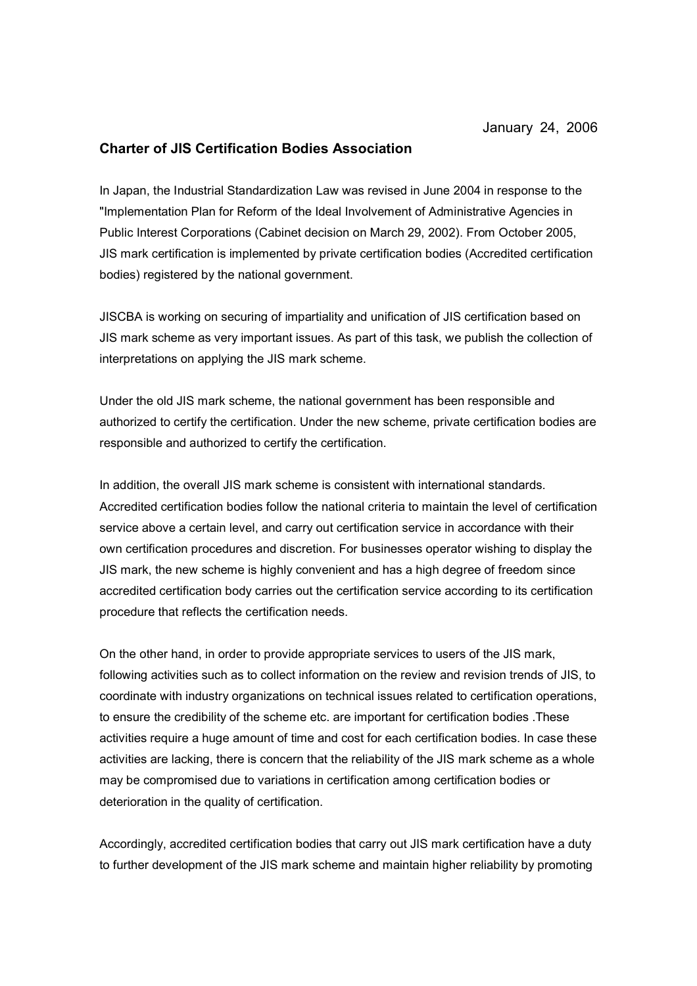## **Charter of JIS Certification Bodies Association**

In Japan, the Industrial Standardization Law was revised in June 2004 in response to the "Implementation Plan for Reform of the Ideal Involvement of Administrative Agencies in Public Interest Corporations (Cabinet decision on March 29, 2002). From October 2005, JIS mark certification is implemented by private certification bodies (Accredited certification bodies) registered by the national government.

JISCBA is working on securing of impartiality and unification of JIS certification based on JIS mark scheme as very important issues. As part of this task, we publish the collection of interpretations on applying the JIS mark scheme.

Under the old JIS mark scheme, the national government has been responsible and authorized to certify the certification. Under the new scheme, private certification bodies are responsible and authorized to certify the certification.

In addition, the overall JIS mark scheme is consistent with international standards. Accredited certification bodies follow the national criteria to maintain the level of certification service above a certain level, and carry out certification service in accordance with their own certification procedures and discretion. For businesses operator wishing to display the JIS mark, the new scheme is highly convenient and has a high degree of freedom since accredited certification body carries out the certification service according to its certification procedure that reflects the certification needs.

On the other hand, in order to provide appropriate services to users of the JIS mark, following activities such as to collect information on the review and revision trends of JIS, to coordinate with industry organizations on technical issues related to certification operations, to ensure the credibility of the scheme etc. are important for certification bodies .These activities require a huge amount of time and cost for each certification bodies. In case these activities are lacking, there is concern that the reliability of the JIS mark scheme as a whole may be compromised due to variations in certification among certification bodies or deterioration in the quality of certification.

Accordingly, accredited certification bodies that carry out JIS mark certification have a duty to further development of the JIS mark scheme and maintain higher reliability by promoting